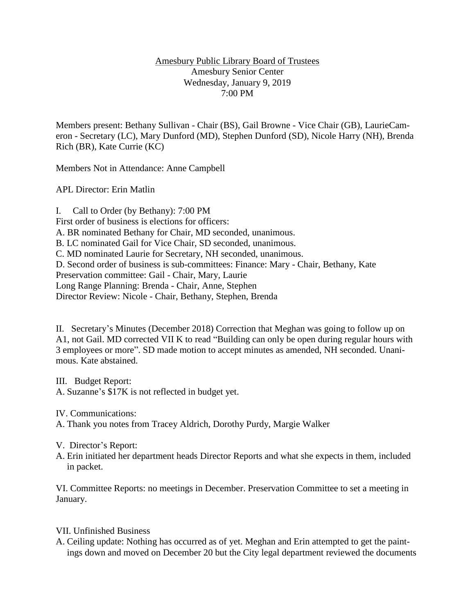## Amesbury Public Library Board of Trustees Amesbury Senior Center Wednesday, January 9, 2019 7:00 PM

Members present: Bethany Sullivan - Chair (BS), Gail Browne - Vice Chair (GB), LaurieCameron - Secretary (LC), Mary Dunford (MD), Stephen Dunford (SD), Nicole Harry (NH), Brenda Rich (BR), Kate Currie (KC)

Members Not in Attendance: Anne Campbell

APL Director: Erin Matlin

I. Call to Order (by Bethany): 7:00 PM First order of business is elections for officers: A. BR nominated Bethany for Chair, MD seconded, unanimous. B. LC nominated Gail for Vice Chair, SD seconded, unanimous. C. MD nominated Laurie for Secretary, NH seconded, unanimous. D. Second order of business is sub-committees: Finance: Mary - Chair, Bethany, Kate Preservation committee: Gail - Chair, Mary, Laurie Long Range Planning: Brenda - Chair, Anne, Stephen Director Review: Nicole - Chair, Bethany, Stephen, Brenda

II. Secretary's Minutes (December 2018) Correction that Meghan was going to follow up on A1, not Gail. MD corrected VII K to read "Building can only be open during regular hours with 3 employees or more". SD made motion to accept minutes as amended, NH seconded. Unanimous. Kate abstained.

III. Budget Report:

A. Suzanne's \$17K is not reflected in budget yet.

IV. Communications:

A. Thank you notes from Tracey Aldrich, Dorothy Purdy, Margie Walker

- V. Director's Report:
- A. Erin initiated her department heads Director Reports and what she expects in them, included in packet.

VI. Committee Reports: no meetings in December. Preservation Committee to set a meeting in January.

## VII. Unfinished Business

A. Ceiling update: Nothing has occurred as of yet. Meghan and Erin attempted to get the paintings down and moved on December 20 but the City legal department reviewed the documents